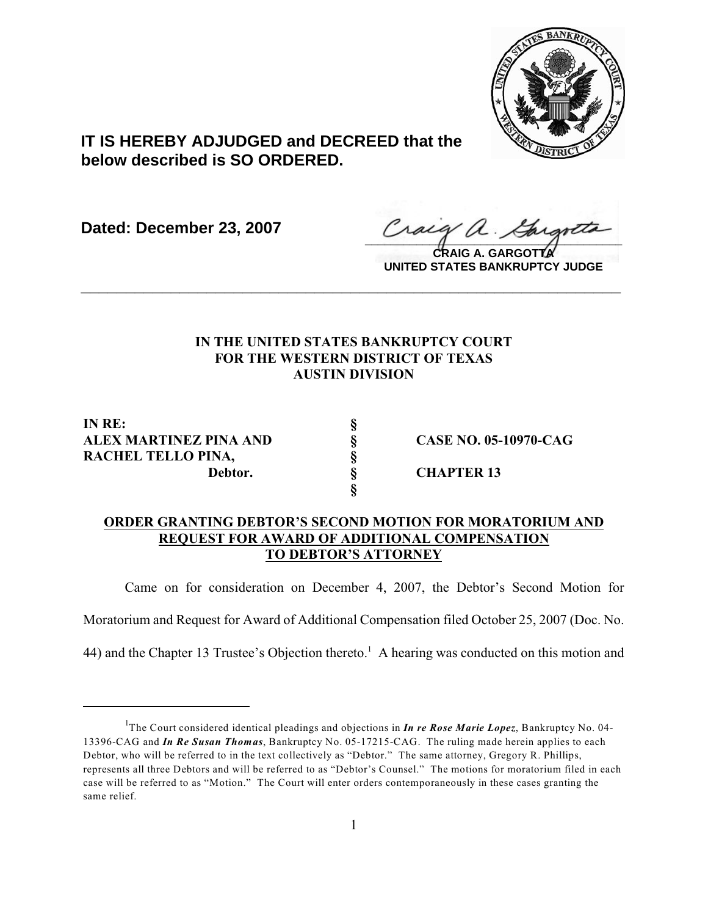

## **IT IS HEREBY ADJUDGED and DECREED that the below described is SO ORDERED.**

**Dated: December 23, 2007**

Cracy a. Gargott

**CRAIG A. GARGOTTA UNITED STATES BANKRUPTCY JUDGE**

## **IN THE UNITED STATES BANKRUPTCY COURT FOR THE WESTERN DISTRICT OF TEXAS AUSTIN DIVISION**

**\_\_\_\_\_\_\_\_\_\_\_\_\_\_\_\_\_\_\_\_\_\_\_\_\_\_\_\_\_\_\_\_\_\_\_\_\_\_\_\_\_\_\_\_\_\_\_\_\_\_\_\_\_\_\_\_\_\_\_\_**

**IN RE: §** ALEX MARTINEZ PINA AND  $\begin{array}{ccc}\n&\text{S} & \text{CASE NO. 05-10970-CAG}\n\text{RACHEL TELLO PINA,} & \S & \text{Dektor.} & \S & \text{GHAPTER 13}\n\end{array}$ **RACHEL TELLO PINA, §**

**Debtor. § CHAPTER 13**

## **ORDER GRANTING DEBTOR'S SECOND MOTION FOR MORATORIUM AND REQUEST FOR AWARD OF ADDITIONAL COMPENSATION TO DEBTOR'S ATTORNEY**

**§**

Came on for consideration on December 4, 2007, the Debtor's Second Motion for

Moratorium and Request for Award of Additional Compensation filed October 25, 2007 (Doc. No.

44) and the Chapter 13 Trustee's Objection thereto.<sup>1</sup> A hearing was conducted on this motion and

<sup>&</sup>lt;sup>1</sup>The Court considered identical pleadings and objections in *In re Rose Marie Lopez*, Bankruptcy No. 04-13396-CAG and *In Re Susan Thomas*, Bankruptcy No. 05-17215-CAG. The ruling made herein applies to each Debtor, who will be referred to in the text collectively as "Debtor." The same attorney, Gregory R. Phillips, represents all three Debtors and will be referred to as "Debtor's Counsel." The motions for moratorium filed in each case will be referred to as "Motion." The Court will enter orders contemporaneously in these cases granting the same relief.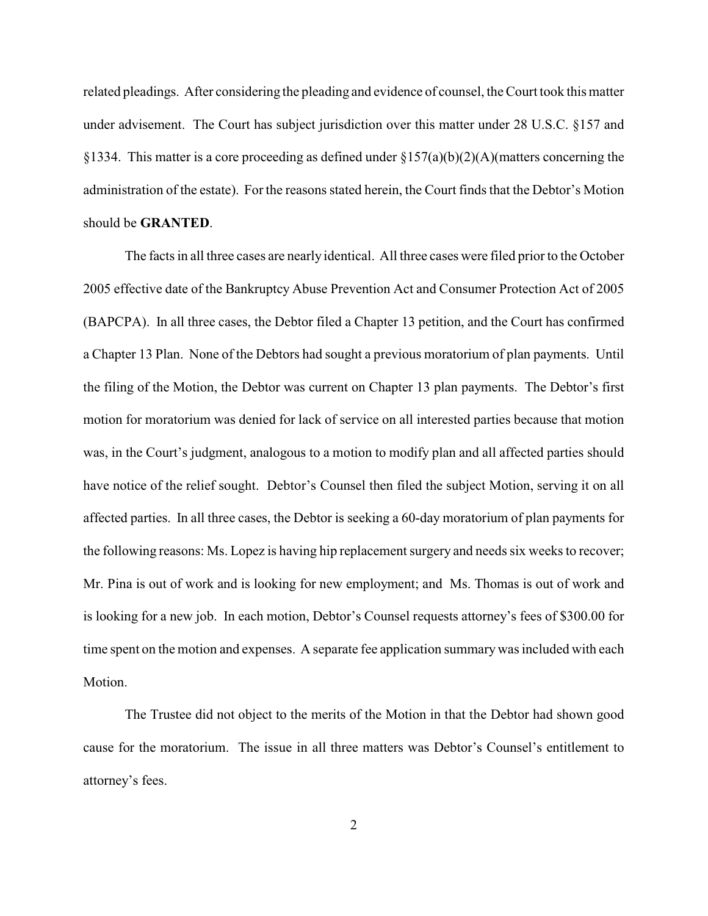related pleadings. After considering the pleading and evidence of counsel, the Court took this matter under advisement. The Court has subject jurisdiction over this matter under 28 U.S.C. §157 and §1334. This matter is a core proceeding as defined under §157(a)(b)(2)(A)(matters concerning the administration of the estate). For the reasons stated herein, the Court finds that the Debtor's Motion should be **GRANTED**.

The facts in all three cases are nearly identical. All three cases were filed prior to the October 2005 effective date of the Bankruptcy Abuse Prevention Act and Consumer Protection Act of 2005 (BAPCPA). In all three cases, the Debtor filed a Chapter 13 petition, and the Court has confirmed a Chapter 13 Plan. None of the Debtors had sought a previous moratorium of plan payments. Until the filing of the Motion, the Debtor was current on Chapter 13 plan payments. The Debtor's first motion for moratorium was denied for lack of service on all interested parties because that motion was, in the Court's judgment, analogous to a motion to modify plan and all affected parties should have notice of the relief sought. Debtor's Counsel then filed the subject Motion, serving it on all affected parties. In all three cases, the Debtor is seeking a 60-day moratorium of plan payments for the following reasons: Ms. Lopez is having hip replacement surgery and needs six weeks to recover; Mr. Pina is out of work and is looking for new employment; and Ms. Thomas is out of work and is looking for a new job. In each motion, Debtor's Counsel requests attorney's fees of \$300.00 for time spent on the motion and expenses. A separate fee application summary was included with each Motion.

The Trustee did not object to the merits of the Motion in that the Debtor had shown good cause for the moratorium. The issue in all three matters was Debtor's Counsel's entitlement to attorney's fees.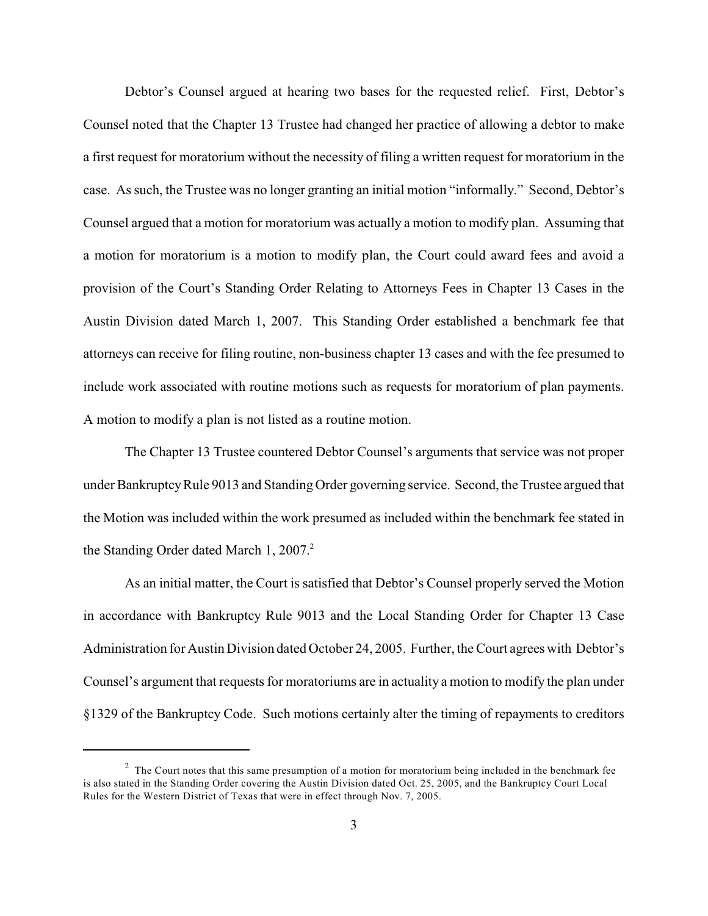Debtor's Counsel argued at hearing two bases for the requested relief. First, Debtor's Counsel noted that the Chapter 13 Trustee had changed her practice of allowing a debtor to make a first request for moratorium without the necessity of filing a written request for moratorium in the case. As such, the Trustee was no longer granting an initial motion "informally." Second, Debtor's Counsel argued that a motion for moratorium was actually a motion to modify plan. Assuming that a motion for moratorium is a motion to modify plan, the Court could award fees and avoid a provision of the Court's Standing Order Relating to Attorneys Fees in Chapter 13 Cases in the Austin Division dated March 1, 2007. This Standing Order established a benchmark fee that attorneys can receive for filing routine, non-business chapter 13 cases and with the fee presumed to include work associated with routine motions such as requests for moratorium of plan payments. A motion to modify a plan is not listed as a routine motion.

The Chapter 13 Trustee countered Debtor Counsel's arguments that service was not proper under Bankruptcy Rule 9013 and Standing Order governing service. Second, the Trustee argued that the Motion was included within the work presumed as included within the benchmark fee stated in the Standing Order dated March 1, 2007.<sup>2</sup>

As an initial matter, the Court is satisfied that Debtor's Counsel properly served the Motion in accordance with Bankruptcy Rule 9013 and the Local Standing Order for Chapter 13 Case Administration for Austin Division dated October 24, 2005. Further, the Court agrees with Debtor's Counsel's argument that requests for moratoriums are in actuality a motion to modify the plan under §1329 of the Bankruptcy Code. Such motions certainly alter the timing of repayments to creditors

 $2$  The Court notes that this same presumption of a motion for moratorium being included in the benchmark fee is also stated in the Standing Order covering the Austin Division dated Oct. 25, 2005, and the Bankruptcy Court Local Rules for the Western District of Texas that were in effect through Nov. 7, 2005.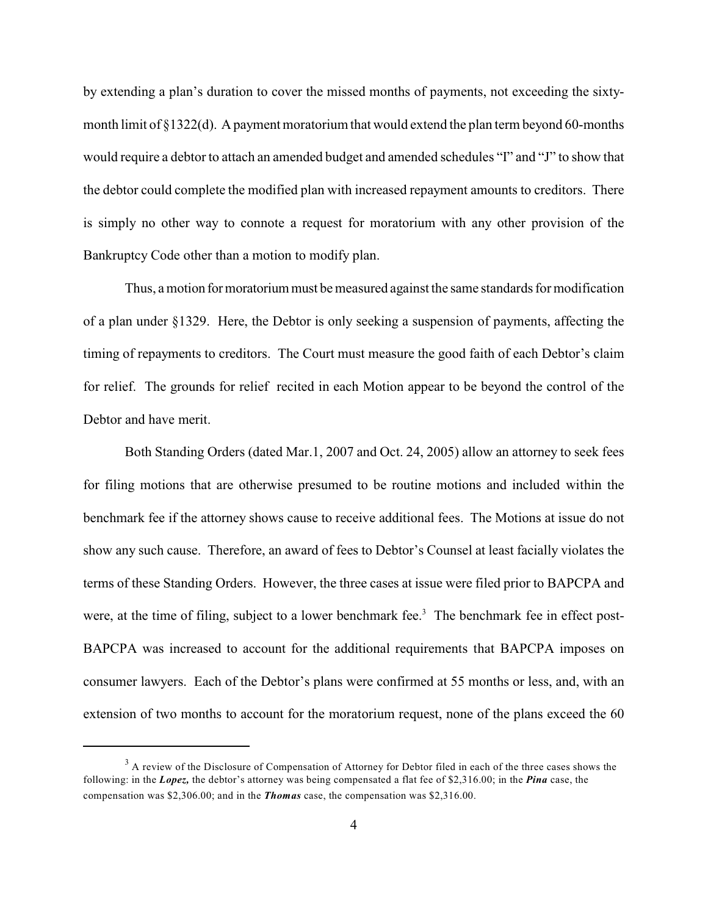by extending a plan's duration to cover the missed months of payments, not exceeding the sixtymonth limit of  $\S 1322(d)$ . A payment moratorium that would extend the plan term beyond 60-months would require a debtor to attach an amended budget and amended schedules "I" and "J" to show that the debtor could complete the modified plan with increased repayment amounts to creditors. There is simply no other way to connote a request for moratorium with any other provision of the Bankruptcy Code other than a motion to modify plan.

Thus, a motion for moratorium must be measured against the same standards for modification of a plan under §1329. Here, the Debtor is only seeking a suspension of payments, affecting the timing of repayments to creditors. The Court must measure the good faith of each Debtor's claim for relief. The grounds for relief recited in each Motion appear to be beyond the control of the Debtor and have merit.

Both Standing Orders (dated Mar.1, 2007 and Oct. 24, 2005) allow an attorney to seek fees for filing motions that are otherwise presumed to be routine motions and included within the benchmark fee if the attorney shows cause to receive additional fees. The Motions at issue do not show any such cause. Therefore, an award of fees to Debtor's Counsel at least facially violates the terms of these Standing Orders. However, the three cases at issue were filed prior to BAPCPA and were, at the time of filing, subject to a lower benchmark fee.<sup>3</sup> The benchmark fee in effect post-BAPCPA was increased to account for the additional requirements that BAPCPA imposes on consumer lawyers. Each of the Debtor's plans were confirmed at 55 months or less, and, with an extension of two months to account for the moratorium request, none of the plans exceed the 60

<sup>&</sup>lt;sup>3</sup> A review of the Disclosure of Compensation of Attorney for Debtor filed in each of the three cases shows the following: in the *Lopez,* the debtor's attorney was being compensated a flat fee of \$2,316.00; in the *Pina* case, the compensation was \$2,306.00; and in the *Thomas* case, the compensation was \$2,316.00.